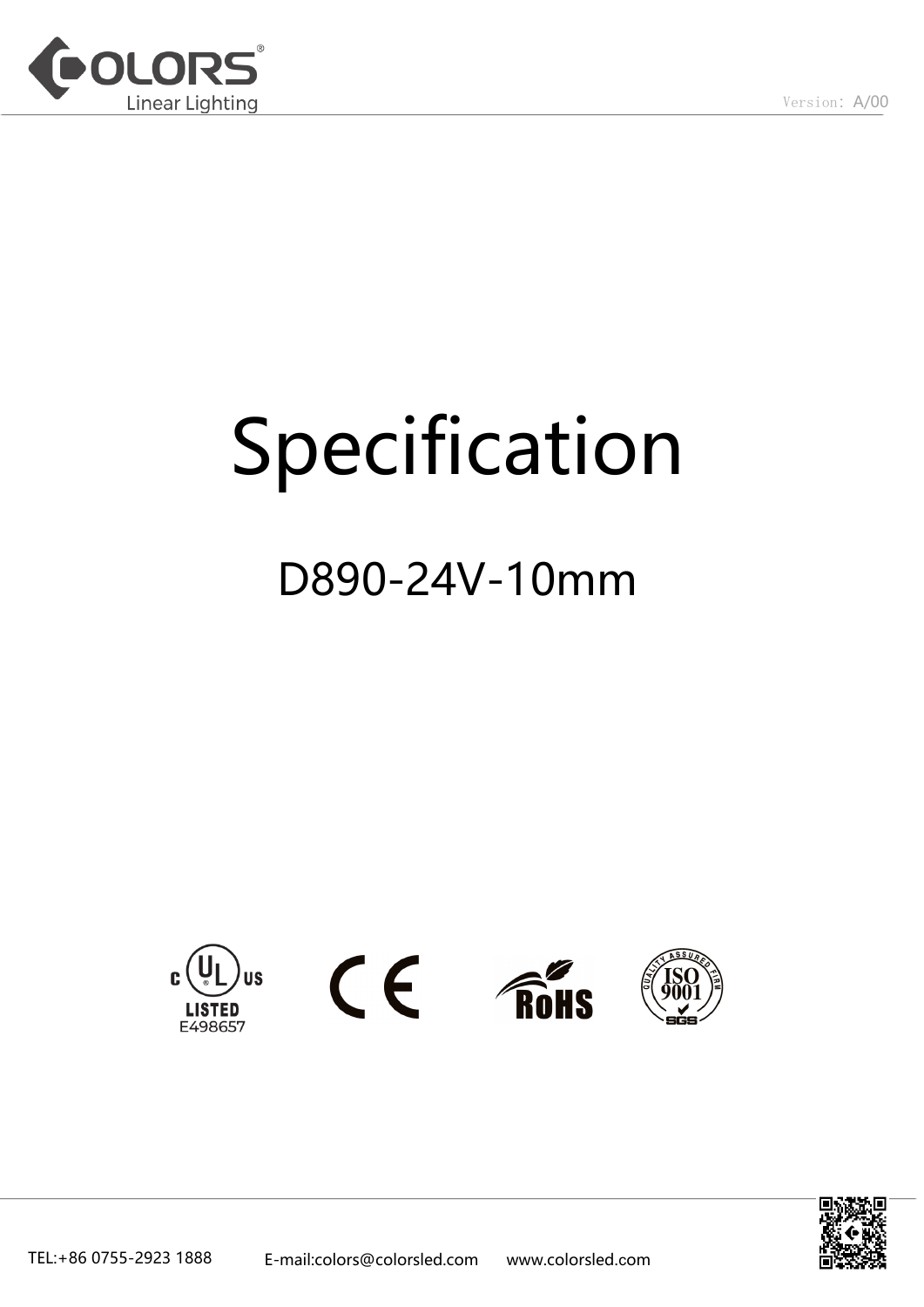

# Specification

## D890-24V-10mm









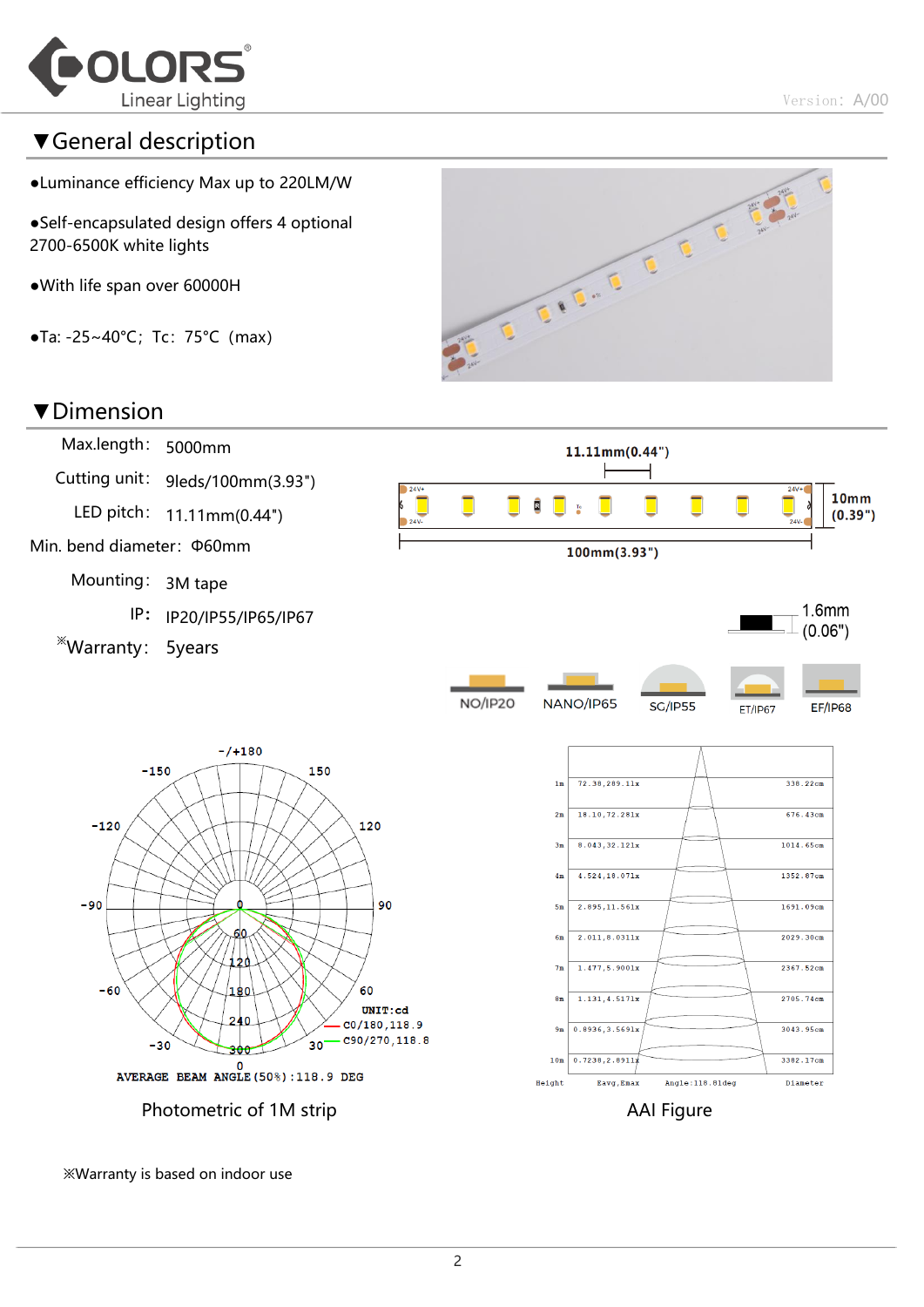

## ▼General description

- ●Luminance efficiency Max up to 220LM/W
- ●Self-encapsulated design offers 4 optional 2700-6500K white lights
- ●With life span over 60000H
- $\bullet$ Ta: -25~40°C; Tc: 75°C (max)



#### ▼Dimension



※Warranty is based on indoor use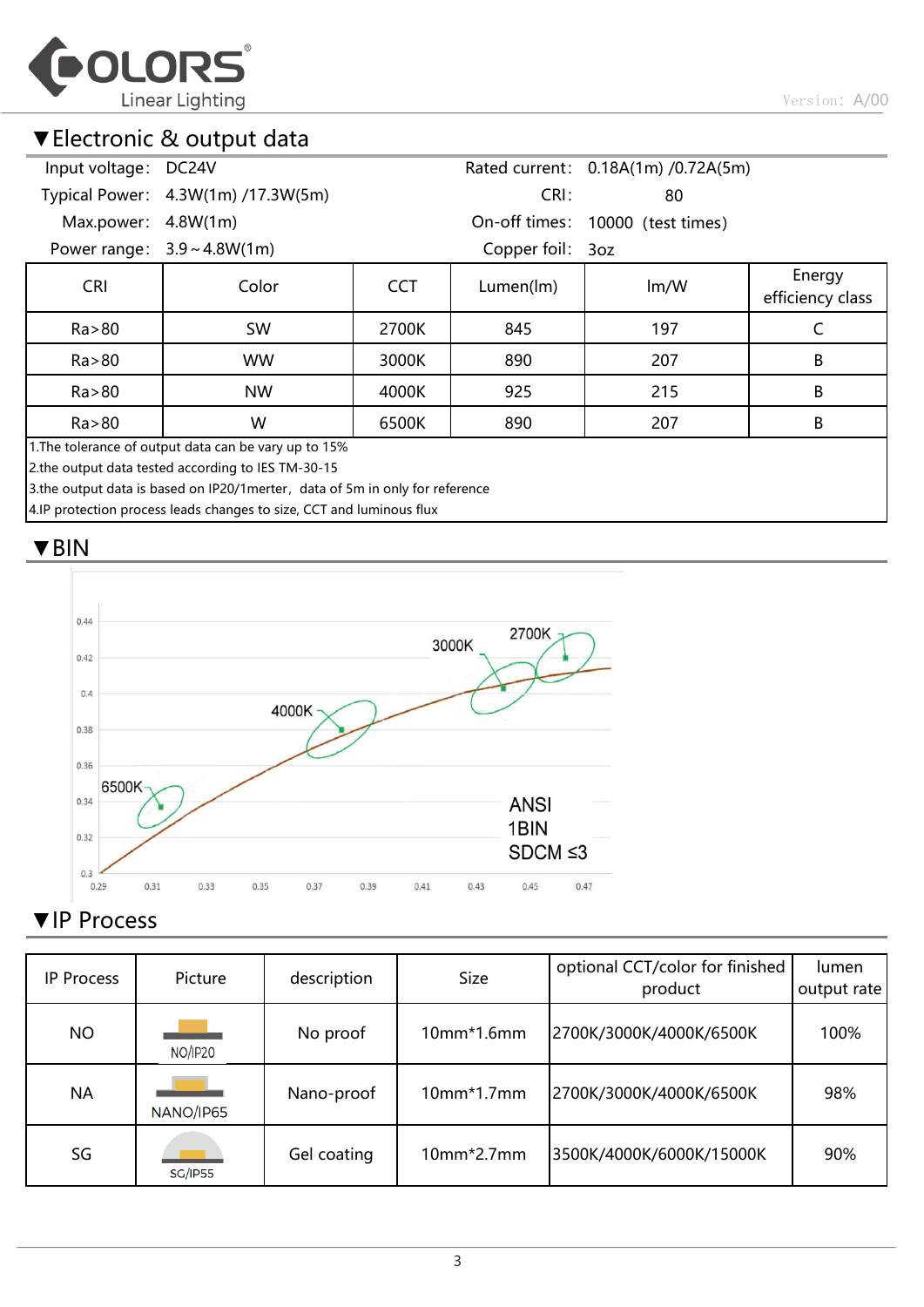

## ▼Electronic & output data

| Input voltage: DC24V                                                          |                                                                      |            |                  | Rated current: 0.18A(1m) /0.72A(5m) |                            |  |  |  |
|-------------------------------------------------------------------------------|----------------------------------------------------------------------|------------|------------------|-------------------------------------|----------------------------|--|--|--|
|                                                                               | Typical Power: 4.3W(1m) /17.3W(5m)                                   |            | CRI:             | 80                                  |                            |  |  |  |
| Max.power:                                                                    | 4.8W(1m)                                                             |            |                  | On-off times: 10000 (test times)    |                            |  |  |  |
|                                                                               | Power range: $3.9 \sim 4.8W(1m)$                                     |            | Copper foil: 3oz |                                     |                            |  |  |  |
| <b>CRI</b>                                                                    | Color                                                                | <b>CCT</b> | Lumen(lm)        | Im/W                                | Energy<br>efficiency class |  |  |  |
| Ra > 80                                                                       | <b>SW</b>                                                            | 2700K      | 845              | 197                                 | C                          |  |  |  |
| Ra > 80                                                                       | <b>WW</b>                                                            | 3000K      | 890              | 207                                 | B                          |  |  |  |
| Ra > 80                                                                       | <b>NW</b>                                                            | 4000K      | 925              | 215                                 | B                          |  |  |  |
| Ra > 80                                                                       | W                                                                    | 6500K      | 890              | 207                                 | B                          |  |  |  |
| 1. The tolerance of output data can be vary up to 15%                         |                                                                      |            |                  |                                     |                            |  |  |  |
| 2.the output data tested according to IES TM-30-15                            |                                                                      |            |                  |                                     |                            |  |  |  |
| 3.the output data is based on IP20/1 merter, data of 5m in only for reference |                                                                      |            |                  |                                     |                            |  |  |  |
|                                                                               | 4.IP protection process leads changes to size, CCT and luminous flux |            |                  |                                     |                            |  |  |  |

## ▼BIN



## ▼IP Process

| <b>IP Process</b> | Picture        | description | <b>Size</b>  | optional CCT/color for finished<br>product | lumen<br>output rate |
|-------------------|----------------|-------------|--------------|--------------------------------------------|----------------------|
| <b>NO</b>         | NO/IP20        | No proof    | $10mm*1.6mm$ | 2700K/3000K/4000K/6500K                    | 100%                 |
| <b>NA</b>         | NANO/IP65      | Nano-proof  | 10mm*1.7mm   | 2700K/3000K/4000K/6500K                    | 98%                  |
| SG                | <b>SG/IP55</b> | Gel coating | $10mm*2.7mm$ | 3500K/4000K/6000K/15000K                   | 90%                  |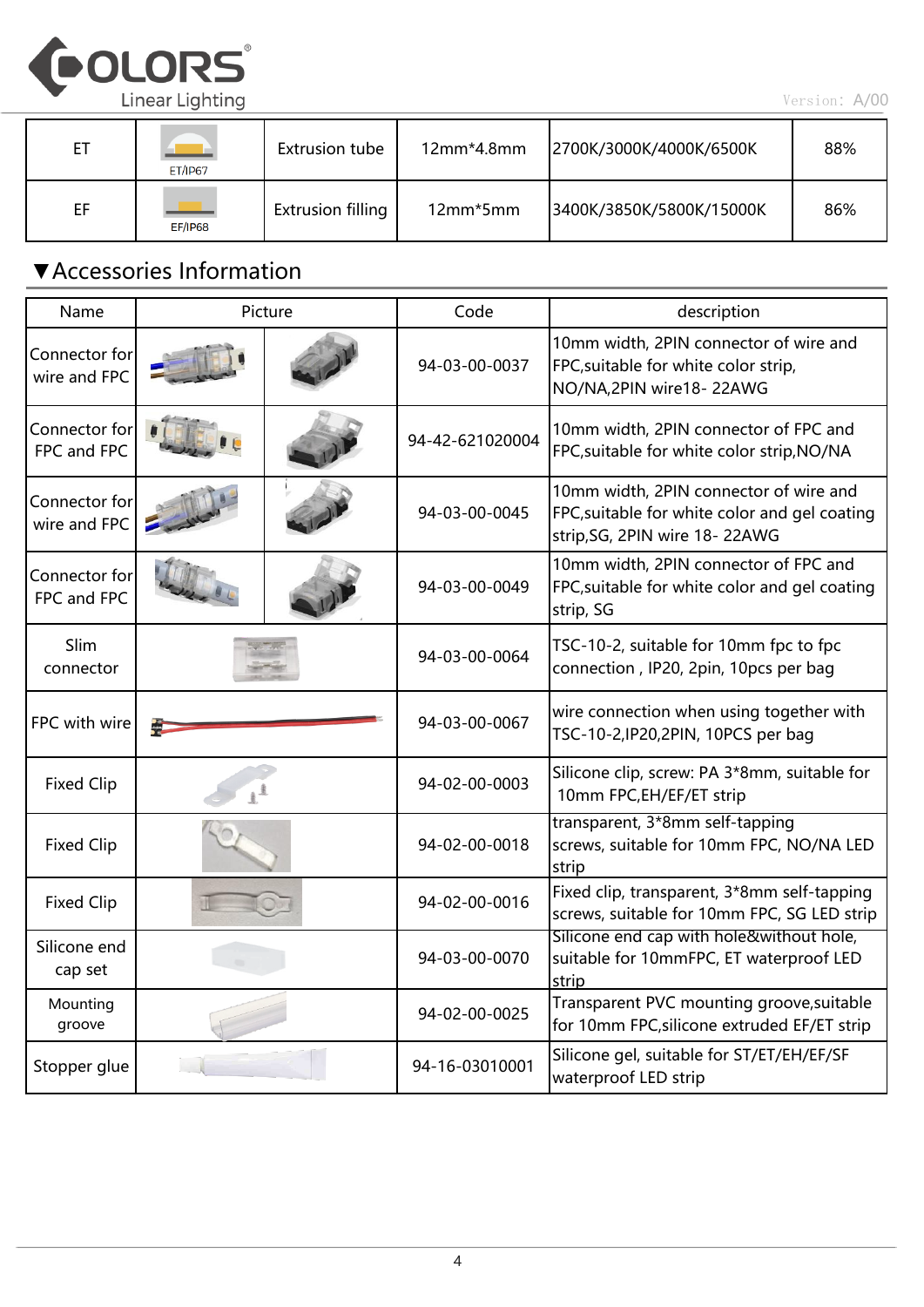

| ЕT | <b>ET/IP67</b> | Extrusion tube           | 12mm*4.8mm | 2700K/3000K/4000K/6500K  | 88% |
|----|----------------|--------------------------|------------|--------------------------|-----|
| EF | <b>EF/IP68</b> | <b>Extrusion filling</b> | 12mm*5mm   | 3400K/3850K/5800K/15000K | 86% |

## ▼Accessories Information

| Name                          | Picture | Code            | description                                                                                                              |
|-------------------------------|---------|-----------------|--------------------------------------------------------------------------------------------------------------------------|
| Connector for<br>wire and FPC |         | 94-03-00-0037   | 10mm width, 2PIN connector of wire and<br>FPC, suitable for white color strip,<br>NO/NA, 2PIN wire 18-22AWG              |
| Connector for<br>FPC and FPC  |         | 94-42-621020004 | 10mm width, 2PIN connector of FPC and<br>FPC, suitable for white color strip, NO/NA                                      |
| Connector for<br>wire and FPC |         | 94-03-00-0045   | 10mm width, 2PIN connector of wire and<br>FPC, suitable for white color and gel coating<br>strip, SG, 2PIN wire 18-22AWG |
| Connector for<br>FPC and FPC  |         | 94-03-00-0049   | 10mm width, 2PIN connector of FPC and<br>FPC, suitable for white color and gel coating<br>strip, SG                      |
| Slim<br>connector             |         | 94-03-00-0064   | TSC-10-2, suitable for 10mm fpc to fpc<br>connection, IP20, 2pin, 10pcs per bag                                          |
| FPC with wire                 |         | 94-03-00-0067   | wire connection when using together with<br>TSC-10-2, IP20, 2PIN, 10PCS per bag                                          |
| <b>Fixed Clip</b>             |         | 94-02-00-0003   | Silicone clip, screw: PA 3*8mm, suitable for<br>10mm FPC, EH/EF/ET strip                                                 |
| <b>Fixed Clip</b>             |         | 94-02-00-0018   | transparent, 3*8mm self-tapping<br>screws, suitable for 10mm FPC, NO/NA LED<br>strip                                     |
| <b>Fixed Clip</b>             |         | 94-02-00-0016   | Fixed clip, transparent, 3*8mm self-tapping<br>screws, suitable for 10mm FPC, SG LED strip                               |
| Silicone end<br>cap set       |         | 94-03-00-0070   | Silicone end cap with hole&without hole,<br>suitable for 10mmFPC, ET waterproof LED<br>strip                             |
| Mounting<br>groove            |         | 94-02-00-0025   | Transparent PVC mounting groove, suitable<br>for 10mm FPC, silicone extruded EF/ET strip                                 |
| Stopper glue                  |         | 94-16-03010001  | Silicone gel, suitable for ST/ET/EH/EF/SF<br>waterproof LED strip                                                        |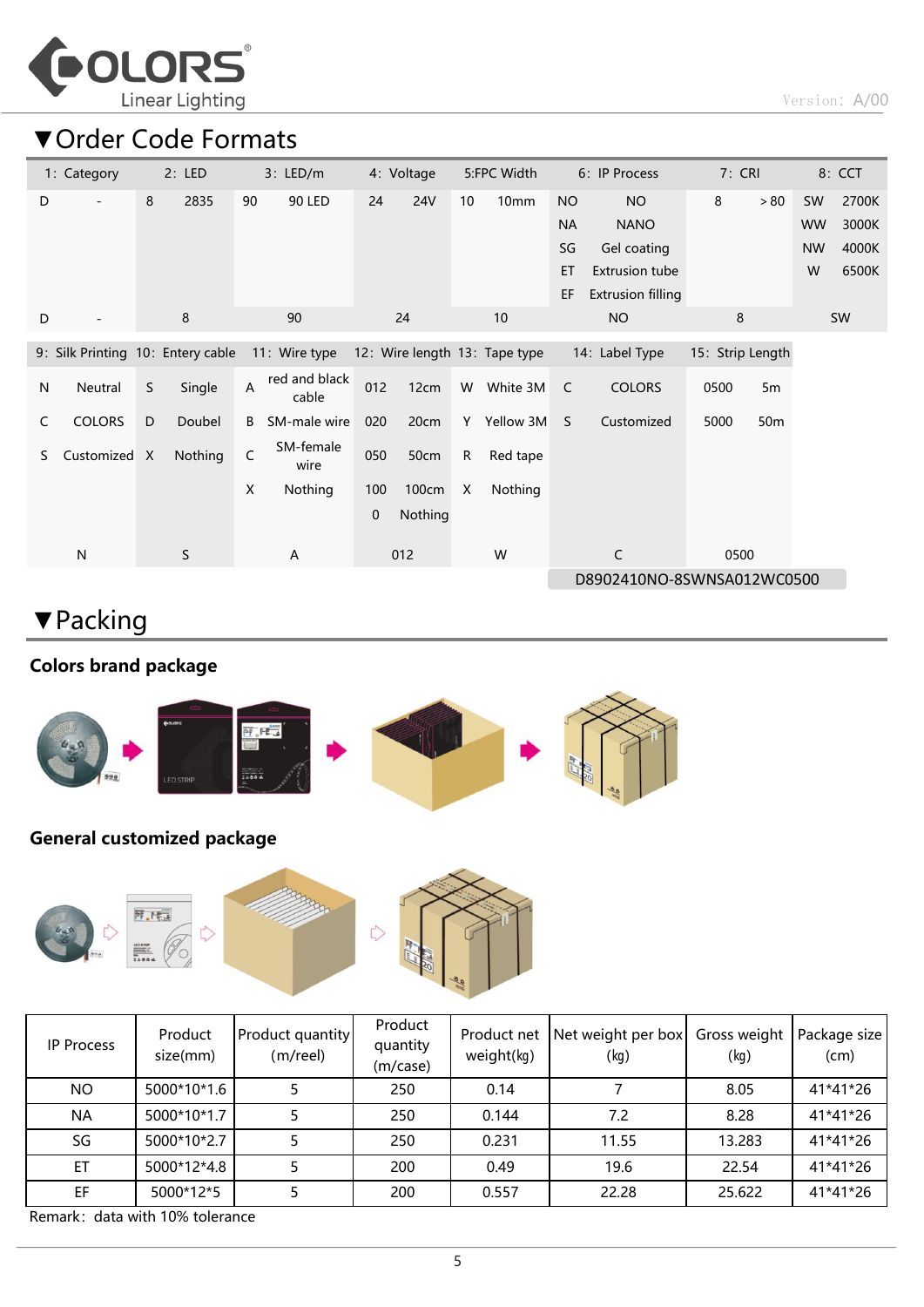

## ▼Order Code Formats

| 1: Category        |              | 2: LED                            |                | 3: LED/m               |     | 4: Voltage |    | 5:FPC Width                   |           | 6: IP Process              | 7: CRI           |                 |           | 8: CCT    |
|--------------------|--------------|-----------------------------------|----------------|------------------------|-----|------------|----|-------------------------------|-----------|----------------------------|------------------|-----------------|-----------|-----------|
| D                  | 8            | 2835                              | 90             | 90 LED                 | 24  | <b>24V</b> | 10 | 10 <sub>mm</sub>              | <b>NO</b> | <b>NO</b>                  | 8                | > 80            | <b>SW</b> | 2700K     |
|                    |              |                                   |                |                        |     |            |    |                               | <b>NA</b> | <b>NANO</b>                |                  |                 | <b>WW</b> | 3000K     |
|                    |              |                                   |                |                        |     |            |    |                               | SG        | Gel coating                |                  |                 | <b>NW</b> | 4000K     |
|                    |              |                                   |                |                        |     |            |    |                               | ET        | <b>Extrusion tube</b>      |                  |                 | W         | 6500K     |
|                    |              |                                   |                |                        |     |            |    |                               | EF        | <b>Extrusion filling</b>   |                  |                 |           |           |
| D                  |              | $\,8\,$                           |                | 90                     |     | 24         |    | 10                            |           | <b>NO</b>                  | 8                |                 |           | <b>SW</b> |
|                    |              | 9: Silk Printing 10: Entery cable |                | 11: Wire type          |     |            |    | 12: Wire length 13: Tape type |           | 14: Label Type             | 15: Strip Length |                 |           |           |
| Neutral<br>N       | S            | Single                            | $\overline{A}$ | red and black<br>cable | 012 | 12cm       | W  | White 3M                      | C         | <b>COLORS</b>              | 0500             | 5m              |           |           |
| <b>COLORS</b><br>C | D            | Doubel                            | B              | SM-male wire           | 020 | 20cm       | Y  | Yellow 3M                     | S         | Customized                 | 5000             | 50 <sub>m</sub> |           |           |
| Customized<br>S.   | $\mathsf{X}$ | Nothing                           | C              | SM-female<br>wire      | 050 | 50cm       | R  | Red tape                      |           |                            |                  |                 |           |           |
|                    |              |                                   | X              | Nothing                | 100 | 100cm      | X  | Nothing                       |           |                            |                  |                 |           |           |
|                    |              |                                   |                |                        | 0   | Nothing    |    |                               |           |                            |                  |                 |           |           |
| $\mathsf{N}$       |              | S                                 |                | A                      |     | 012        |    | W                             |           | C                          | 0500             |                 |           |           |
|                    |              |                                   |                |                        |     |            |    |                               |           | D8902410NO-8SWNSA012WC0500 |                  |                 |           |           |

## ▼Packing

### Colors brand package



#### General customized package



| IP Process | Product<br>size(mm) | Product quantity<br>$(m$ /reel) | Product<br>quantity<br>(m/case) | Product net<br>weight(kg) | Net weight per box<br>(kg) | Gross weight<br>(kg) | Package size<br>(cm) |
|------------|---------------------|---------------------------------|---------------------------------|---------------------------|----------------------------|----------------------|----------------------|
| NO.        | 5000*10*1.6         |                                 | 250                             | 0.14                      |                            | 8.05                 | 41*41*26             |
| <b>NA</b>  | 5000*10*1.7         |                                 | 250                             | 0.144                     | 7.2                        | 8.28                 | 41*41*26             |
| SG         | 5000*10*2.7         |                                 | 250                             | 0.231                     | 11.55                      | 13.283               | 41*41*26             |
| ET         | 5000*12*4.8         |                                 | 200                             | 0.49                      | 19.6                       | 22.54                | 41*41*26             |
| EF         | 5000*12*5           |                                 | 200                             | 0.557                     | 22.28                      | 25.622               | 41*41*26             |

Remark: data with 10% tolerance